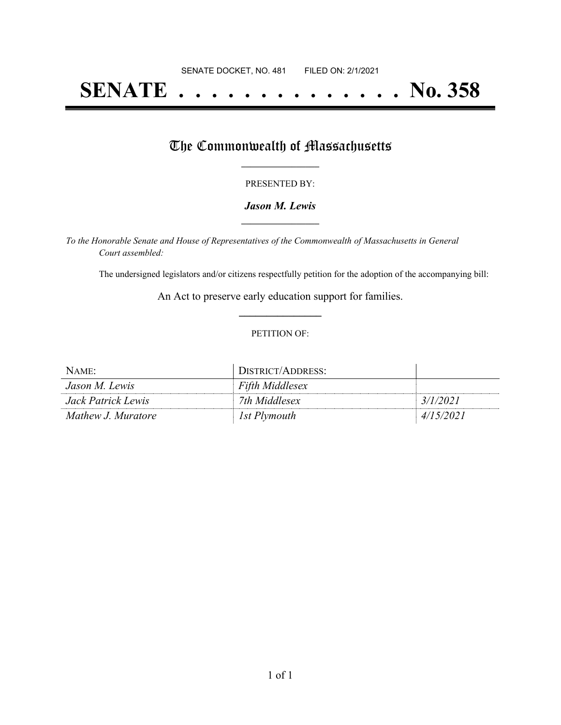# **SENATE . . . . . . . . . . . . . . No. 358**

## The Commonwealth of Massachusetts

#### PRESENTED BY:

#### *Jason M. Lewis* **\_\_\_\_\_\_\_\_\_\_\_\_\_\_\_\_\_**

*To the Honorable Senate and House of Representatives of the Commonwealth of Massachusetts in General Court assembled:*

The undersigned legislators and/or citizens respectfully petition for the adoption of the accompanying bill:

An Act to preserve early education support for families. **\_\_\_\_\_\_\_\_\_\_\_\_\_\_\_**

#### PETITION OF:

| NAME:              | DISTRICT/ADDRESS:      |           |
|--------------------|------------------------|-----------|
| Jason M. Lewis     | <b>Fifth Middlesex</b> |           |
| Jack Patrick Lewis | 7th Middlesex          | 3/1/2021  |
| Mathew J. Muratore | 1st Plymouth           | 4/15/2021 |